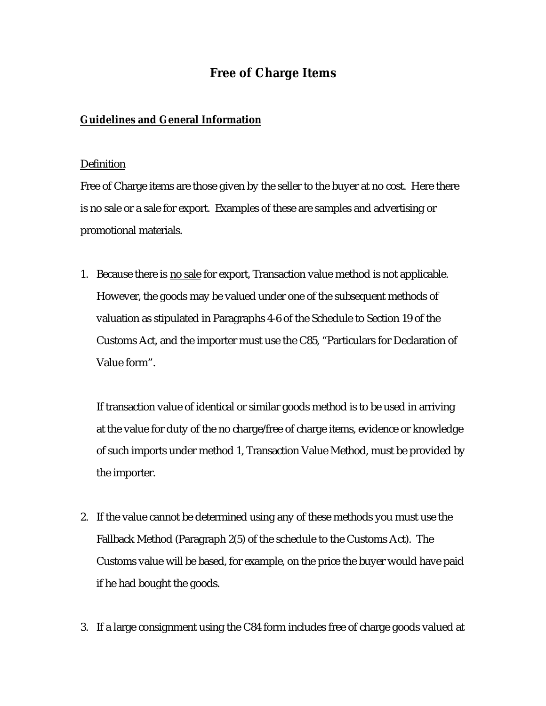## **Free of Charge Items**

## **Guidelines and General Information**

## Definition

Free of Charge items are those given by the seller to the buyer at no cost. Here there is no sale or a sale for export. Examples of these are samples and advertising or promotional materials.

1. Because there is no sale for export, Transaction value method is not applicable. However, the goods may be valued under one of the subsequent methods of valuation as stipulated in Paragraphs 4-6 of the Schedule to Section 19 of the Customs Act, and the importer must use the C85, "Particulars for Declaration of Value form".

If transaction value of identical or similar goods method is to be used in arriving at the value for duty of the no charge/free of charge items, evidence or knowledge of such imports under method 1, Transaction Value Method, must be provided by the importer.

- 2. If the value cannot be determined using any of these methods you must use the Fallback Method (Paragraph 2(5) of the schedule to the Customs Act). The Customs value will be based, for example, on the price the buyer would have paid if he had bought the goods.
- 3. If a large consignment using the C84 form includes free of charge goods valued at